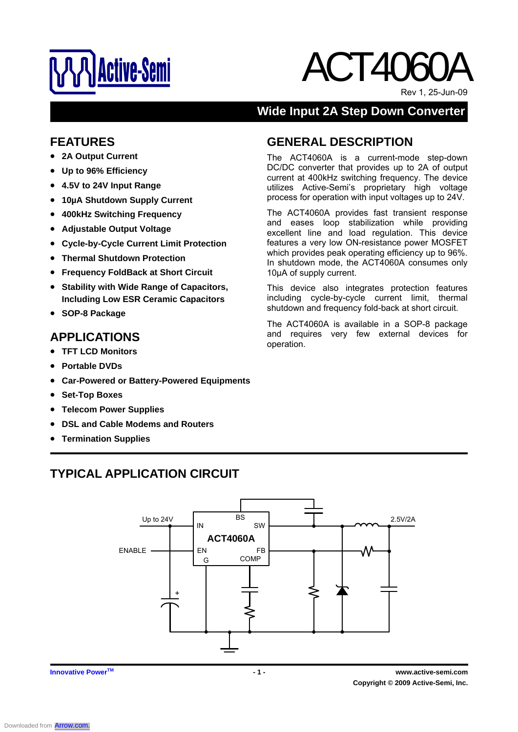

# ACT4060A

Rev 1, 25-Jun-09

# **Wide Input 2A Step Down Converter**

The ACT4060A is a current-mode step-down DC/DC converter that provides up to 2A of output current at 400kHz switching frequency. The device utilizes Active-Semi's proprietary high voltage process for operation with input voltages up to 24V. The ACT4060A provides fast transient response and eases loop stabilization while providing excellent line and load regulation. This device features a very low ON-resistance power MOSFET which provides peak operating efficiency up to 96%. In shutdown mode, the ACT4060A consumes only

This device also integrates protection features including cycle-by-cycle current limit, thermal shutdown and frequency fold-back at short circuit. The ACT4060A is available in a SOP-8 package and requires very few external devices for

**GENERAL DESCRIPTION** 

10μA of supply current.

operation.

## **FEATURES**

- **2A Output Current**
- **Up to 96% Efficiency**
- **4.5V to 24V Input Range**
- **10µA Shutdown Supply Current**
- **400kHz Switching Frequency**
- **Adjustable Output Voltage**
- **Cycle-by-Cycle Current Limit Protection**
- **Thermal Shutdown Protection**
- **Frequency FoldBack at Short Circuit**
- **Stability with Wide Range of Capacitors, Including Low ESR Ceramic Capacitors**
- **SOP-8 Package**

# **APPLICATIONS**

- **TFT LCD Monitors**
- **Portable DVDs**
- **Car-Powered or Battery-Powered Equipments**
- **Set-Top Boxes**
- **Telecom Power Supplies**
- **DSL and Cable Modems and Routers**
- **Termination Supplies**

# **TYPICAL APPLICATION CIRCUIT**

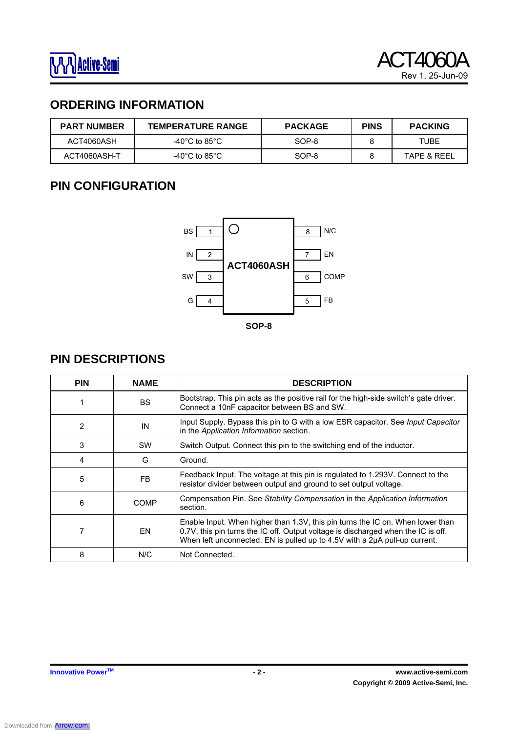# **ORDERING INFORMATION**

| <b>PART NUMBER</b> | <b>TEMPERATURE RANGE</b> | <b>PACKAGE</b> | <b>PINS</b> | <b>PACKING</b> |
|--------------------|--------------------------|----------------|-------------|----------------|
| ACT4060ASH         | -40°C to 85°C.           | SOP-8          |             | TUBE           |
| ACT4060ASH-T       | -40°C to 85°C.           | SOP-8          |             | TAPE & REEL    |

# **PIN CONFIGURATION**



# **PIN DESCRIPTIONS**

| <b>PIN</b>            | <b>NAME</b> | <b>DESCRIPTION</b>                                                                                                                                                                                                                                |
|-----------------------|-------------|---------------------------------------------------------------------------------------------------------------------------------------------------------------------------------------------------------------------------------------------------|
|                       | <b>BS</b>   | Bootstrap. This pin acts as the positive rail for the high-side switch's gate driver.<br>Connect a 10nF capacitor between BS and SW.                                                                                                              |
| 2                     | IN          | Input Supply. Bypass this pin to G with a low ESR capacitor. See Input Capacitor<br>in the Application Information section.                                                                                                                       |
| 3                     | <b>SW</b>   | Switch Output. Connect this pin to the switching end of the inductor.                                                                                                                                                                             |
| 4                     | G           | Ground.                                                                                                                                                                                                                                           |
| 5                     | FB.         | Feedback Input. The voltage at this pin is regulated to 1.293V. Connect to the<br>resistor divider between output and ground to set output voltage.                                                                                               |
| 6<br>COMP<br>section. |             | Compensation Pin. See Stability Compensation in the Application Information                                                                                                                                                                       |
|                       | EN          | Enable Input. When higher than 1.3V, this pin turns the IC on. When lower than<br>0.7V, this pin turns the IC off. Output voltage is discharged when the IC is off.<br>When left unconnected, EN is pulled up to 4.5V with a 2µA pull-up current. |
| 8                     | N/C         | Not Connected.                                                                                                                                                                                                                                    |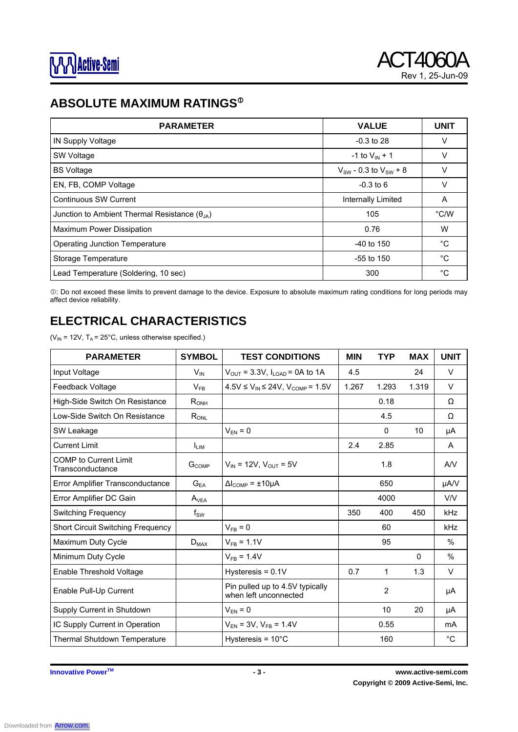# **ABSOLUTE MAXIMUM RATINGS<sup>®</sup>**

| <b>PARAMETER</b>                                       | <b>VALUE</b>                   | <b>UNIT</b>   |
|--------------------------------------------------------|--------------------------------|---------------|
| IN Supply Voltage                                      | $-0.3$ to 28                   | V             |
| SW Voltage                                             | -1 to $V_{\text{IN}} + 1$      | V             |
| <b>BS Voltage</b>                                      | $V_{SW}$ - 0.3 to $V_{SW}$ + 8 | $\vee$        |
| EN, FB, COMP Voltage                                   | $-0.3$ to 6                    | v             |
| <b>Continuous SW Current</b>                           | Internally Limited             | A             |
| Junction to Ambient Thermal Resistance $(\theta_{JA})$ | 105                            | $\degree$ C/W |
| Maximum Power Dissipation                              | 0.76                           | W             |
| <b>Operating Junction Temperature</b>                  | $-40$ to 150                   | °C            |
| Storage Temperature                                    | $-55$ to 150                   | $^{\circ}C$   |
| Lead Temperature (Soldering, 10 sec)                   | 300                            | °C            |

c: Do not exceed these limits to prevent damage to the device. Exposure to absolute maximum rating conditions for long periods may affect device reliability.

# **ELECTRICAL CHARACTERISTICS**

( $V_{IN}$  = 12V, T<sub>A</sub> = 25°C, unless otherwise specified.)

| <b>PARAMETER</b>                                 | <b>SYMBOL</b> | <b>TEST CONDITIONS</b>                                   | <b>MIN</b> | <b>TYP</b>   | <b>MAX</b> | <b>UNIT</b> |
|--------------------------------------------------|---------------|----------------------------------------------------------|------------|--------------|------------|-------------|
| Input Voltage                                    | $V_{IN}$      | $V_{\text{OUT}}$ = 3.3V, $I_{\text{LOAD}}$ = 0A to 1A    | 4.5        |              | 24         | $\vee$      |
| Feedback Voltage                                 | $V_{FB}$      | $4.5V \le V_{IN} \le 24V$ , $V_{COMP} = 1.5V$            | 1.267      | 1.293        | 1.319      | V           |
| High-Side Switch On Resistance                   | $R_{ONH}$     |                                                          |            | 0.18         |            | $\Omega$    |
| Low-Side Switch On Resistance                    | $R_{ONL}$     |                                                          |            | 4.5          |            | Ω           |
| SW Leakage                                       |               | $V_{EN} = 0$                                             |            | $\mathbf{0}$ | 10         | μA          |
| <b>Current Limit</b>                             | <b>L</b> IM   |                                                          | 2.4        | 2.85         |            | A           |
| <b>COMP</b> to Current Limit<br>Transconductance | $G_{COMP}$    | $V_{IN}$ = 12V, $V_{OUT}$ = 5V                           |            | 1.8          |            | AV          |
| Error Amplifier Transconductance                 | $G_{EA}$      | $\Delta l_{\text{COMP}}$ = $\pm 10 \mu A$                |            | 650          |            | µA/V        |
| Error Amplifier DC Gain                          | $A_{VEA}$     |                                                          |            | 4000         |            | V/V         |
| <b>Switching Frequency</b>                       | $f_{SW}$      |                                                          | 350        | 400          | 450        | kHz         |
| <b>Short Circuit Switching Frequency</b>         |               | $V_{FB} = 0$                                             |            | 60           |            | kHz         |
| Maximum Duty Cycle                               | $D_{MAX}$     | $V_{FB} = 1.1V$                                          |            | 95           |            | $\%$        |
| Minimum Duty Cycle                               |               | $V_{FB} = 1.4V$                                          |            |              | $\Omega$   | %           |
| Enable Threshold Voltage                         |               | Hysteresis = $0.1V$                                      | 0.7        | 1            | 1.3        | V           |
| Enable Pull-Up Current                           |               | Pin pulled up to 4.5V typically<br>when left unconnected |            | 2            |            | μA          |
| Supply Current in Shutdown                       |               | $V_{EN} = 0$                                             |            | 10           | 20         | μA          |
| IC Supply Current in Operation                   |               | $V_{EN}$ = 3V, $V_{FB}$ = 1.4V                           |            | 0.55         |            | mA          |
| Thermal Shutdown Temperature                     |               | Hysteresis = $10^{\circ}$ C                              |            | 160          |            | $^{\circ}C$ |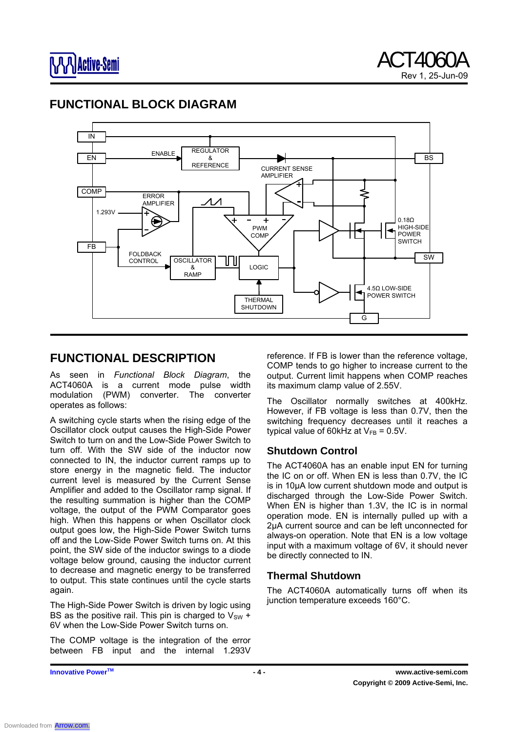## **FUNCTIONAL BLOCK DIAGRAM**



## **FUNCTIONAL DESCRIPTION**

As seen in *Functional Block Diagram*, the ACT4060A is a current mode pulse width modulation (PWM) converter. The converter operates as follows:

A switching cycle starts when the rising edge of the Oscillator clock output causes the High-Side Power Switch to turn on and the Low-Side Power Switch to turn off. With the SW side of the inductor now connected to IN, the inductor current ramps up to store energy in the magnetic field. The inductor current level is measured by the Current Sense Amplifier and added to the Oscillator ramp signal. If the resulting summation is higher than the COMP voltage, the output of the PWM Comparator goes high. When this happens or when Oscillator clock output goes low, the High-Side Power Switch turns off and the Low-Side Power Switch turns on. At this point, the SW side of the inductor swings to a diode voltage below ground, causing the inductor current to decrease and magnetic energy to be transferred to output. This state continues until the cycle starts again.

The High-Side Power Switch is driven by logic using BS as the positive rail. This pin is charged to  $V_{\text{sw}} +$ 6V when the Low-Side Power Switch turns on.

The COMP voltage is the integration of the error between FB input and the internal 1.293V

reference. If FB is lower than the reference voltage, COMP tends to go higher to increase current to the output. Current limit happens when COMP reaches its maximum clamp value of 2.55V.

The Oscillator normally switches at 400kHz. However, if FB voltage is less than 0.7V, then the switching frequency decreases until it reaches a typical value of 60kHz at  $V_{FB} = 0.5V$ .

### **Shutdown Control**

The ACT4060A has an enable input EN for turning the IC on or off. When EN is less than 0.7V, the IC is in 10μA low current shutdown mode and output is discharged through the Low-Side Power Switch. When EN is higher than 1.3V, the IC is in normal operation mode. EN is internally pulled up with a 2μA current source and can be left unconnected for always-on operation. Note that EN is a low voltage input with a maximum voltage of 6V, it should never be directly connected to IN.

#### **Thermal Shutdown**

The ACT4060A automatically turns off when its junction temperature exceeds 160°C.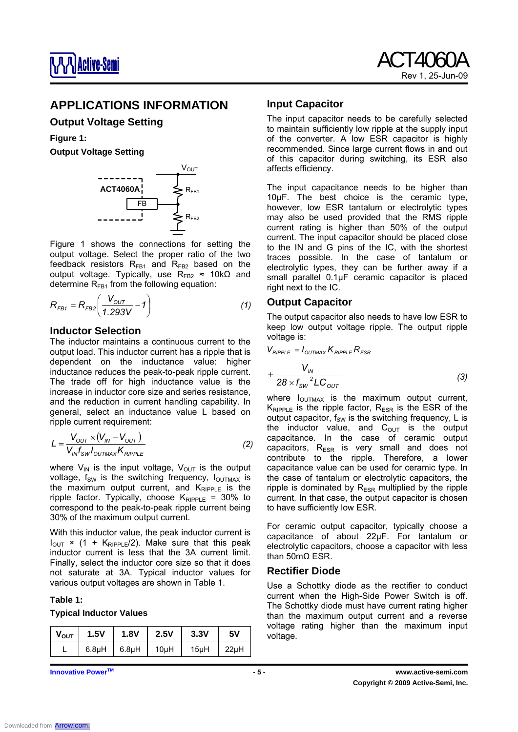

## **APPLICATIONS INFORMATION**

#### **Output Voltage Setting**

# **Figure 1:**

**Output Voltage Setting** 



Figure 1 shows the connections for setting the output voltage. Select the proper ratio of the two feedback resistors  $R_{FB1}$  and  $R_{FB2}$  based on the output voltage. Typically, use  $R_{FB2} \approx 10k\Omega$  and determine  $R_{FB1}$  from the following equation:

$$
R_{FB1} = R_{FB2} \left( \frac{V_{OUT}}{1.293V} - 1 \right)
$$
 (1)

#### **Inductor Selection**

The inductor maintains a continuous current to the output load. This inductor current has a ripple that is dependent on the inductance value: higher inductance reduces the peak-to-peak ripple current. The trade off for high inductance value is the increase in inductor core size and series resistance, and the reduction in current handling capability. In general, select an inductance value L based on ripple current requirement:

$$
L = \frac{V_{OUT} \times (V_{IN} - V_{OUT})}{V_{IN} f_{SW} I_{OUTMAX} K_{RIPPLE}}
$$
\n(2)

where  $V_{IN}$  is the input voltage,  $V_{OUT}$  is the output voltage,  $f_{SW}$  is the switching frequency,  $I_{OUTMAX}$  is the maximum output current, and  $K_{\text{RIPPLE}}$  is the ripple factor. Typically, choose  $K_{RIPPLE}$  = 30% to correspond to the peak-to-peak ripple current being 30% of the maximum output current.

With this inductor value, the peak inductor current is  $I_{OUT}$  × (1 +  $K_{RIPPLE}/2$ ). Make sure that this peak inductor current is less that the 3A current limit. Finally, select the inductor core size so that it does not saturate at 3A. Typical inductor values for various output voltages are shown in Table 1.

#### **Table 1:**

#### **Typical Inductor Values**

| $V_{\text{OUT}}$ | 1.5V               | <b>1.8V</b> | $\vert$ 2.5V | 3.3V | 5۷   |
|------------------|--------------------|-------------|--------------|------|------|
|                  | 6.8 <sub>µ</sub> H | $6.8\mu H$  | $\vert$ 10µH | 15µH | 22µH |

#### **Input Capacitor**

The input capacitor needs to be carefully selected to maintain sufficiently low ripple at the supply input of the converter. A low ESR capacitor is highly recommended. Since large current flows in and out of this capacitor during switching, its ESR also affects efficiency.

The input capacitance needs to be higher than 10µF. The best choice is the ceramic type, however, low ESR tantalum or electrolytic types may also be used provided that the RMS ripple current rating is higher than 50% of the output current. The input capacitor should be placed close to the IN and G pins of the IC, with the shortest traces possible. In the case of tantalum or electrolytic types, they can be further away if a small parallel 0.1µF ceramic capacitor is placed right next to the IC.

#### **Output Capacitor**

The output capacitor also needs to have low ESR to keep low output voltage ripple. The output ripple voltage is:

$$
V_{RIPPLE} = I_{OUTMAX} K_{RIPPLE} R_{ESR}
$$
  
+ 
$$
\frac{V_{IN}}{28 \times f_{SW}^2 LC_{OUT}}
$$
 (3)

where  $I_{\text{OUTMAX}}$  is the maximum output current.  $K_{RIPPLE}$  is the ripple factor,  $R_{ESR}$  is the ESR of the output capacitor,  $f_{SW}$  is the switching frequency, L is the inductor value, and  $C_{\text{OUT}}$  is the output capacitance. In the case of ceramic output capacitors,  $R_{ESR}$  is very small and does not contribute to the ripple. Therefore, a lower capacitance value can be used for ceramic type. In the case of tantalum or electrolytic capacitors, the ripple is dominated by  $R_{FSR}$  multiplied by the ripple current. In that case, the output capacitor is chosen to have sufficiently low ESR.

For ceramic output capacitor, typically choose a capacitance of about 22µF. For tantalum or electrolytic capacitors, choose a capacitor with less than 50mΩ ESR.

#### **Rectifier Diode**

Use a Schottky diode as the rectifier to conduct current when the High-Side Power Switch is off. The Schottky diode must have current rating higher than the maximum output current and a reverse voltage rating higher than the maximum input voltage.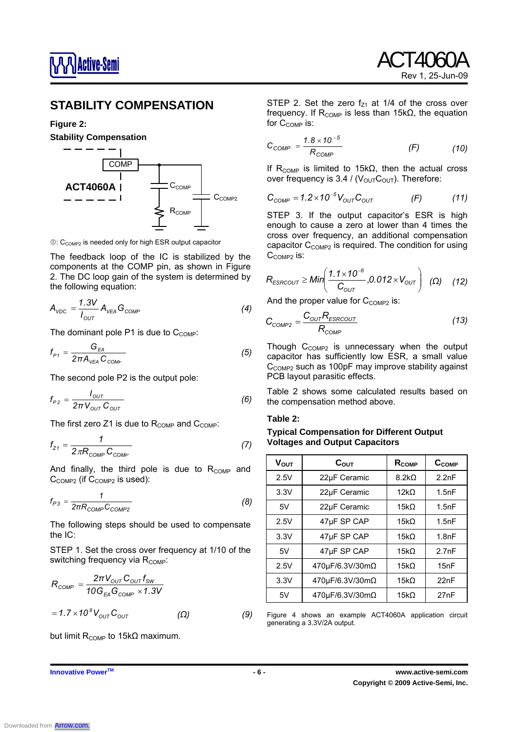

## **STABILITY COMPENSATION**

#### **Figure 2:**



 $O: C_{COMP2}$  is needed only for high ESR output capacitor

The feedback loop of the IC is stabilized by the components at the COMP pin, as shown in Figure 2. The DC loop gain of the system is determined by the following equation:

$$
A_{\text{VDC}} = \frac{1.3V}{I_{\text{OUT}}} A_{\text{VEA}} G_{\text{COMP}} \tag{4}
$$

The dominant pole P1 is due to  $C_{COMP}$ :

$$
f_{P1} = \frac{G_{EA}}{2\pi A_{VEA} C_{COMF}}
$$
 (5)

The second pole P2 is the output pole:

$$
f_{P2} = \frac{I_{OUT}}{2\pi V_{OUT} C_{OUT}} \tag{6}
$$

The first zero Z1 is due to  $R_{COMP}$  and  $C_{COMP}$ :

$$
f_{Z1} = \frac{1}{2\pi R_{\text{COMP}} C_{\text{COMP}}}
$$
 (7)

And finally, the third pole is due to  $R_{COMP}$  and C<sub>COMP2</sub> (if C<sub>COMP2</sub> is used):

$$
f_{P3} = \frac{1}{2\pi R_{COMP}C_{COMP2}}
$$
 (8)

The following steps should be used to compensate the IC:

STEP 1. Set the cross over frequency at 1/10 of the switching frequency via  $R_{\text{COMP}}$ :

$$
R_{COMP} = \frac{2\pi V_{OUT} C_{OUT} f_{SW}}{10 G_{EA} G_{COMP} \times 1.3 V}
$$

$$
= 1.7 \times 10^8 V_{OUT} C_{OUT}
$$
 (Ω) (9)

but limit R<sub>COMP</sub> to 15kΩ maximum.

frequency. If  $R_{COMP}$  is less than 15k $\Omega$ , the equation for  $C_{COMP}$  is:

$$
C_{COMP} = \frac{1.8 \times 10^{-5}}{R_{COMP}} \tag{f}
$$

STEP 2. Set the zero  $f<sub>Z1</sub>$  at 1/4 of the cross over

If  $R_{COMP}$  is limited to 15k $\Omega$ , then the actual cross over frequency is 3.4 /  $(V_{\text{OUT}}C_{\text{OUT}})$ . Therefore:

$$
C_{COMP} = 1.2 \times 10^{-5} V_{OUT} C_{OUT} \qquad (F) \qquad (11)
$$

STEP 3. If the output capacitor's ESR is high enough to cause a zero at lower than 4 times the cross over frequency, an additional compensation capacitor  $C_{\text{COMP2}}$  is required. The condition for using C<sub>COMP2</sub> is:

$$
R_{ESRCOUT} \geq Min\left(\frac{1.1 \times 10^{-6}}{C_{OUT}}, 0.012 \times V_{OUT}\right) \quad (\Omega) \quad (12)
$$

And the proper value for  $C_{COMP2}$  is:

$$
C_{COMP2} = \frac{C_{OUT}R_{ESRCOUT}}{R_{COMP}}
$$
 (13)

Though  $C_{COMP2}$  is unnecessary when the output capacitor has sufficiently low ESR, a small value  $C_{COMP2}$  such as 100pF may improve stability against PCB layout parasitic effects.

Table 2 shows some calculated results based on the compensation method above.

#### **Table 2:**

#### **Typical Compensation for Different Output Voltages and Output Capacitors**

| <b>V<sub>OUT</sub></b> | $C_{\text{OUT}}$ | $R_{COMP}$   | $C_{COMP}$ |
|------------------------|------------------|--------------|------------|
| 2.5V                   | 22µF Ceramic     | $8.2k\Omega$ | 2.2nF      |
| 3.3V                   | 22µF Ceramic     | $12k\Omega$  | 1.5nF      |
| 5V                     | 22µF Ceramic     | $15k\Omega$  | 1.5nF      |
| 2.5V                   | 47µF SP CAP      | $15k\Omega$  | 1.5nF      |
| 3.3V                   | 47µF SP CAP      | $15k\Omega$  | 1.8nF      |
| 5V                     | 47µF SP CAP      | $15k\Omega$  | 2.7nF      |
| 2.5V                   | 470μF/6.3V/30mΩ  | $15k\Omega$  | 15nF       |
| 3.3V                   | 470μF/6.3V/30mΩ  | $15k\Omega$  | 22nF       |
| 5V                     | 470μF/6.3V/30mΩ  | $15k\Omega$  | 27nF       |

Figure 4 shows an example ACT4060A application circuit generating a 3.3V/2A output.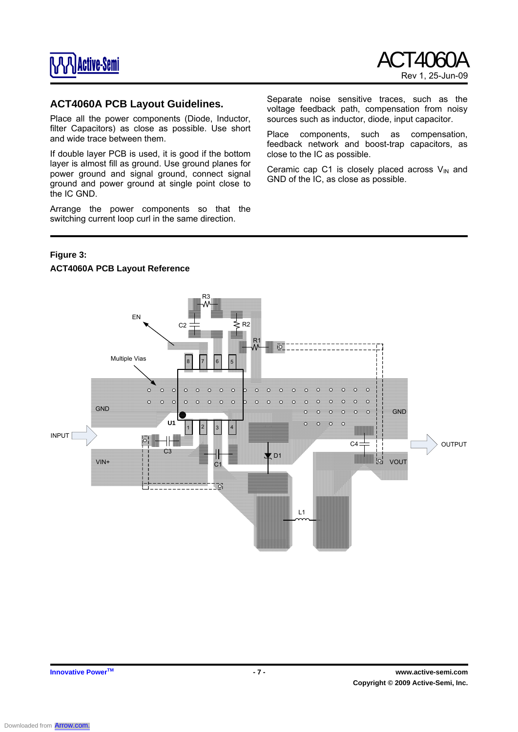

#### **ACT4060A PCB Layout Guidelines.**

Place all the power components (Diode, Inductor, filter Capacitors) as close as possible. Use short and wide trace between them.

If double layer PCB is used, it is good if the bottom layer is almost fill as ground. Use ground planes for power ground and signal ground, connect signal ground and power ground at single point close to the IC GND.

Arrange the power components so that the switching current loop curl in the same direction.

Separate noise sensitive traces, such as the voltage feedback path, compensation from noisy sources such as inductor, diode, input capacitor.

Place components, such as compensation, feedback network and boost-trap capacitors, as close to the IC as possible.

Ceramic cap C1 is closely placed across  $V_{IN}$  and GND of the IC, as close as possible.

#### **Figure 3:**

#### **ACT4060A PCB Layout Reference**

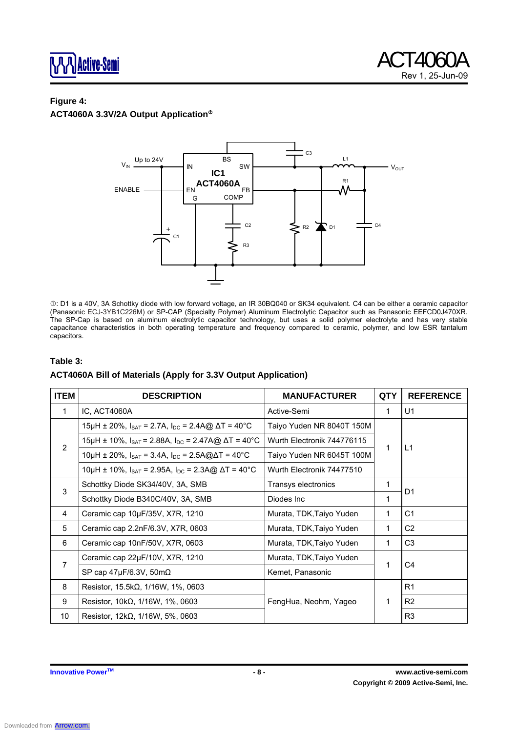

# **Figure 4:**

# **ACT4060A 3.3V/2A Output Application**<sup>®</sup>



c: D1 is a 40V, 3A Schottky diode with low forward voltage, an IR 30BQ040 or SK34 equivalent. C4 can be either a ceramic capacitor (Panasonic ECJ-3YB1C226M) or SP-CAP (Specialty Polymer) Aluminum Electrolytic Capacitor such as Panasonic EEFCD0J470XR. The SP-Cap is based on aluminum electrolytic capacitor technology, but uses a solid polymer electrolyte and has very stable capacitance characteristics in both operating temperature and frequency compared to ceramic, polymer, and low ESR tantalum capacitors.

#### **Table 3:**

#### **ACT4060A Bill of Materials (Apply for 3.3V Output Application)**

| <b>ITEM</b> | <b>DESCRIPTION</b>                                                                                          | <b>MANUFACTURER</b>        | QTY | <b>REFERENCE</b> |
|-------------|-------------------------------------------------------------------------------------------------------------|----------------------------|-----|------------------|
| 1           | IC, ACT4060A                                                                                                | Active-Semi                |     | U1               |
|             | 15µH ± 20%, $I_{\text{SAT}}$ = 2.7A, $I_{\text{DC}}$ = 2.4A@ $\Delta T$ = 40°C                              | Taiyo Yuden NR 8040T 150M  |     |                  |
| 2           | 15μH ± 10%, I <sub>SAT</sub> = 2.88A, I <sub>DC</sub> = 2.47A@ ΔT = 40°C                                    | Wurth Electronik 744776115 |     |                  |
|             | Taiyo Yuden NR 6045T 100M<br>10µH ± 20%, $I_{\text{SAT}}$ = 3.4A, $I_{\text{DC}}$ = 2.5A@ $\Delta T$ = 40°C |                            | 1   | L1               |
|             | 10µH ± 10%, $I_{\text{SAT}}$ = 2.95A, $I_{\text{DC}}$ = 2.3A@ $\Delta T$ = 40°C                             | Wurth Electronik 74477510  |     |                  |
| 3           | Schottky Diode SK34/40V, 3A, SMB                                                                            | Transys electronics        |     | D <sub>1</sub>   |
|             | Schottky Diode B340C/40V, 3A, SMB                                                                           | Diodes Inc                 |     |                  |
| 4           | Ceramic cap 10µF/35V, X7R, 1210                                                                             | Murata, TDK, Taiyo Yuden   | 1   | C <sub>1</sub>   |
| 5           | Ceramic cap 2.2nF/6.3V, X7R, 0603                                                                           | Murata, TDK, Taiyo Yuden   | 1   | C <sub>2</sub>   |
| 6           | Ceramic cap 10nF/50V, X7R, 0603                                                                             | Murata, TDK, Taiyo Yuden   | 1   | C <sub>3</sub>   |
| 7           | Ceramic cap 22µF/10V, X7R, 1210                                                                             | Murata, TDK, Taiyo Yuden   | 1   | C <sub>4</sub>   |
|             | SP cap $47 \mu$ F/6.3V, 50m $\Omega$                                                                        | Kemet, Panasonic           |     |                  |
| 8           | Resistor, $15.5k\Omega$ , $1/16W$ , $1\%$ , 0603                                                            |                            |     | R <sub>1</sub>   |
| 9           | Resistor, $10k\Omega$ , $1/16W$ , $1\%$ , 0603                                                              | FengHua, Neohm, Yageo      | 1   | R <sub>2</sub>   |
| 10          | Resistor, $12k\Omega$ , $1/16W$ , $5\%$ , 0603                                                              |                            |     | R <sub>3</sub>   |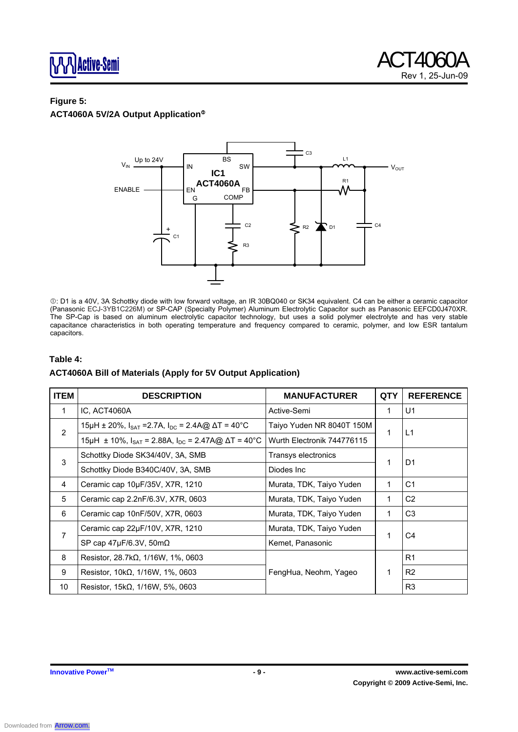

#### **Figure 5: ACT4060A 5V/2A Output Application**<sup>®</sup>



c: D1 is a 40V, 3A Schottky diode with low forward voltage, an IR 30BQ040 or SK34 equivalent. C4 can be either a ceramic capacitor (Panasonic ECJ-3YB1C226M) or SP-CAP (Specialty Polymer) Aluminum Electrolytic Capacitor such as Panasonic EEFCD0J470XR. The SP-Cap is based on aluminum electrolytic capacitor technology, but uses a solid polymer electrolyte and has very stable capacitance characteristics in both operating temperature and frequency compared to ceramic, polymer, and low ESR tantalum capacitors.

#### **Table 4:**

#### **ACT4060A Bill of Materials (Apply for 5V Output Application)**

| <b>ITEM</b>    | <b>DESCRIPTION</b>                                                             | <b>MANUFACTURER</b>        | <b>QTY</b> | <b>REFERENCE</b> |
|----------------|--------------------------------------------------------------------------------|----------------------------|------------|------------------|
| $\mathbf{1}$   | IC, ACT4060A                                                                   | Active-Semi                | 1          | U1               |
| $\overline{2}$ | 15µH ± 20%, $I_{\text{SAT}}$ = 2.7A, $I_{\text{DC}}$ = 2.4A@ $\Delta T$ = 40°C | Taiyo Yuden NR 8040T 150M  | 1          | L1               |
|                | 15μH ± 10%, I <sub>SAT</sub> = 2.88A, I <sub>DC</sub> = 2.47A@ ΔT = 40°C       | Wurth Electronik 744776115 |            |                  |
| 3              | Schottky Diode SK34/40V, 3A, SMB                                               | Transys electronics        | 1          | D <sub>1</sub>   |
|                | Schottky Diode B340C/40V, 3A, SMB                                              | Diodes Inc                 |            |                  |
| 4              | Murata, TDK, Taiyo Yuden<br>Ceramic cap 10µF/35V, X7R, 1210                    |                            | 1          | C <sub>1</sub>   |
| 5              | Ceramic cap 2.2nF/6.3V, X7R, 0603<br>Murata, TDK, Taiyo Yuden                  |                            | 1          | C <sub>2</sub>   |
| 6              | Ceramic cap 10nF/50V, X7R, 0603                                                | Murata, TDK, Taiyo Yuden   | 1          | C <sub>3</sub>   |
| 7              | Ceramic cap 22µF/10V, X7R, 1210                                                | Murata, TDK, Taiyo Yuden   | 1          | C4               |
|                | SP cap $47\mu$ F/6.3V, 50m $\Omega$                                            | Kemet, Panasonic           |            |                  |
| 8              | Resistor, $28.7k\Omega$ , $1/16W$ , $1\%$ , 0603                               |                            |            | R <sub>1</sub>   |
| 9              | Resistor, $10k\Omega$ , $1/16W$ , $1\%$ , $0603$                               | FengHua, Neohm, Yageo      | 1          | R <sub>2</sub>   |
| 10             | Resistor, $15k\Omega$ , $1/16W$ , $5\%$ , 0603                                 |                            |            | R <sub>3</sub>   |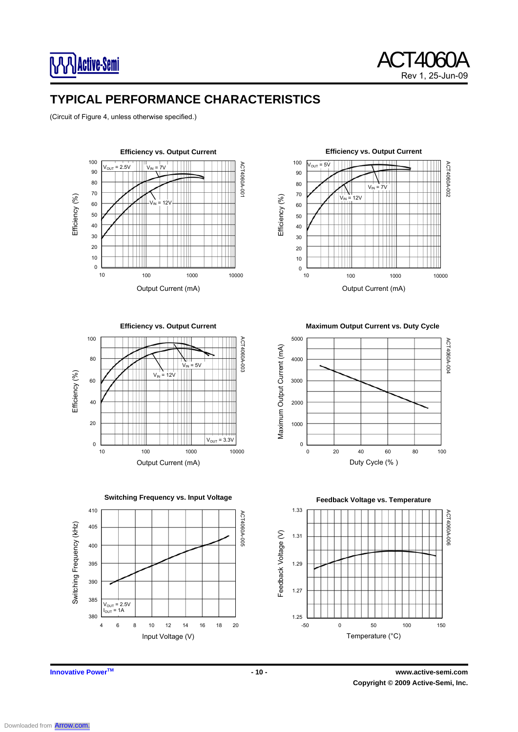

# **TYPICAL PERFORMANCE CHARACTERISTICS**

(Circuit of Figure 4, unless otherwise specified.)





**Efficiency vs. Output Current** 



**Switching Frequency vs. Input Voltage** 



**Maximum Output Current vs. Duty Cycle** 



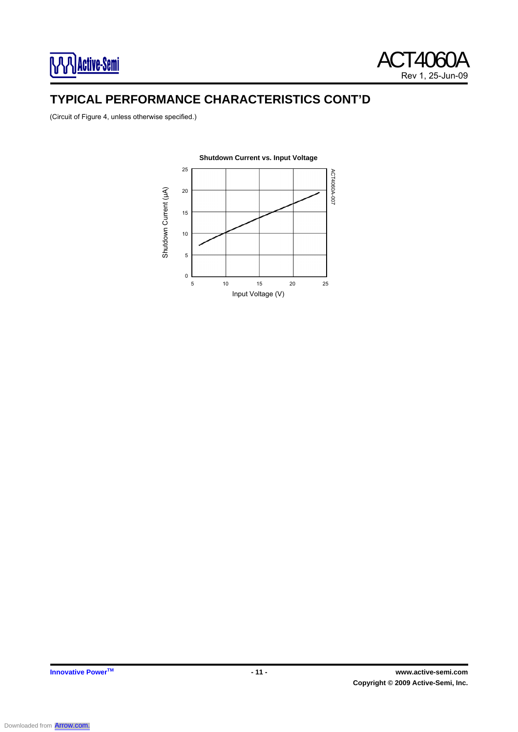

# **TYPICAL PERFORMANCE CHARACTERISTICS CONT'D**

(Circuit of Figure 4, unless otherwise specified.)